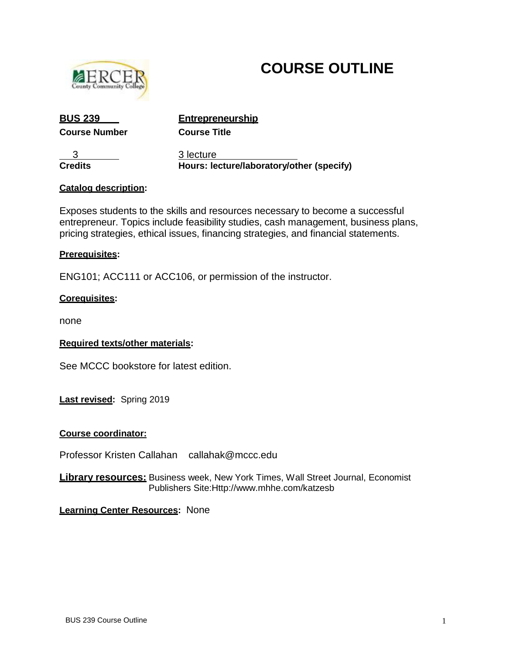

# **COURSE OUTLINE**

**Course Number Course Title**

**BUS 239 Entrepreneurship**

3 3 lecture **Credits Hours: lecture/laboratory/other (specify)** 

# **Catalog description:**

Exposes students to the skills and resources necessary to become a successful entrepreneur. Topics include feasibility studies, cash management, business plans, pricing strategies, ethical issues, financing strategies, and financial statements.

# **Prerequisites:**

ENG101; ACC111 or ACC106, or permission of the instructor.

# **Corequisites:**

none

# **Required texts/other materials:**

See MCCC bookstore for latest edition.

**Last revised:** Spring 2019

# **Course coordinator:**

Professor Kristen Callahan callahak@mccc.edu

**Library resources:** Business week, New York Times, Wall Street Journal, Economist Publishers Si[te:Http://www.mhhe.com/katzesb](http://www.mhhe.com/katzesb)

# **Learning Center Resources:** None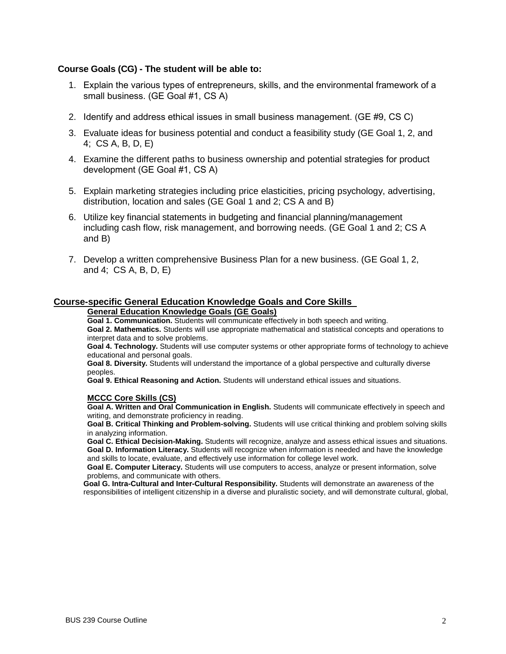## **Course Goals (CG) - The student will be able to:**

- 1. Explain the various types of entrepreneurs, skills, and the environmental framework of a small business. (GE Goal #1, CS A)
- 2. Identify and address ethical issues in small business management. (GE #9, CS C)
- 3. Evaluate ideas for business potential and conduct a feasibility study (GE Goal 1, 2, and 4; CS A, B, D, E)
- 4. Examine the different paths to business ownership and potential strategies for product development (GE Goal #1, CS A)
- 5. Explain marketing strategies including price elasticities, pricing psychology, advertising, distribution, location and sales (GE Goal 1 and 2; CS A and B)
- 6. Utilize key financial statements in budgeting and financial planning/management including cash flow, risk management, and borrowing needs. (GE Goal 1 and 2; CS A and B)
- 7. Develop a written comprehensive Business Plan for a new business. (GE Goal 1, 2, and 4; CS A, B, D, E)

# **Course-specific General Education Knowledge Goals and Core Skills**

#### **General Education Knowledge Goals (GE Goals)**

**Goal 1. Communication.** Students will communicate effectively in both speech and writing. **Goal 2. Mathematics.** Students will use appropriate mathematical and statistical concepts and operations to interpret data and to solve problems.

**Goal 4. Technology.** Students will use computer systems or other appropriate forms of technology to achieve educational and personal goals.

**Goal 8. Diversity.** Students will understand the importance of a global perspective and culturally diverse peoples.

**Goal 9. Ethical Reasoning and Action.** Students will understand ethical issues and situations.

## **MCCC Core Skills (CS)**

**Goal A. Written and Oral Communication in English.** Students will communicate effectively in speech and writing, and demonstrate proficiency in reading.

**Goal B. Critical Thinking and Problem-solving.** Students will use critical thinking and problem solving skills in analyzing information.

**Goal C. Ethical Decision-Making.** Students will recognize, analyze and assess ethical issues and situations. **Goal D. Information Literacy.** Students will recognize when information is needed and have the knowledge and skills to locate, evaluate, and effectively use information for college level work.

**Goal E. Computer Literacy.** Students will use computers to access, analyze or present information, solve problems, and communicate with others.

**Goal G. Intra-Cultural and Inter-Cultural Responsibility.** Students will demonstrate an awareness of the responsibilities of intelligent citizenship in a diverse and pluralistic society, and will demonstrate cultural, global,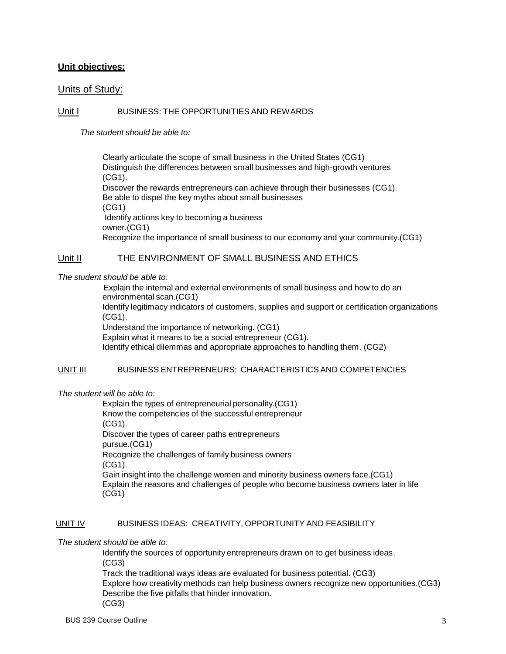# **Unit objectives:**

# Units of Study:

# Unit I BUSINESS: THE OPPORTUNITIES AND REWARDS

*The student should be able to:*

Clearly articulate the scope of small business in the United States (CG1) Distinguish the differences between small businesses and high-growth ventures (CG1). Discover the rewards entrepreneurs can achieve through their businesses (CG1). Be able to dispel the key myths about small businesses (CG1) Identify actions key to becoming a business owner.(CG1) Recognize the importance of small business to our economy and your community.(CG1)

# Unit II THE ENVIRONMENT OF SMALL BUSINESS AND ETHICS

## *The student should be able to:*

 Explain the internal and external environments of small business and how to do an environmental scan.(CG1) Identify legitimacy indicators of customers, supplies and support or certification organizations (CG1). Understand the importance of networking. (CG1) Explain what it means to be a social entrepreneur (CG1). Identify ethical dilemmas and appropriate approaches to handling them. (CG2)

# UNIT III BUSINESS ENTREPRENEURS: CHARACTERISTICS AND COMPETENCIES

## *The student will be able to:*

Explain the types of entrepreneurial personality.(CG1) Know the competencies of the successful entrepreneur (CG1). Discover the types of career paths entrepreneurs pursue.(CG1) Recognize the challenges of family business owners (CG1). Gain insight into the challenge women and minority business owners face.(CG1) Explain the reasons and challenges of people who become business owners later in life (CG1)

## UNIT IV BUSINESS IDEAS: CREATIVITY, OPPORTUNITY AND FEASIBILITY

## *The student should be able to:*

Identify the sources of opportunity entrepreneurs drawn on to get business ideas. (CG3)

Track the traditional ways ideas are evaluated for business potential. (CG3) Explore how creativity methods can help business owners recognize new opportunities.(CG3) Describe the five pitfalls that hinder innovation. (CG3)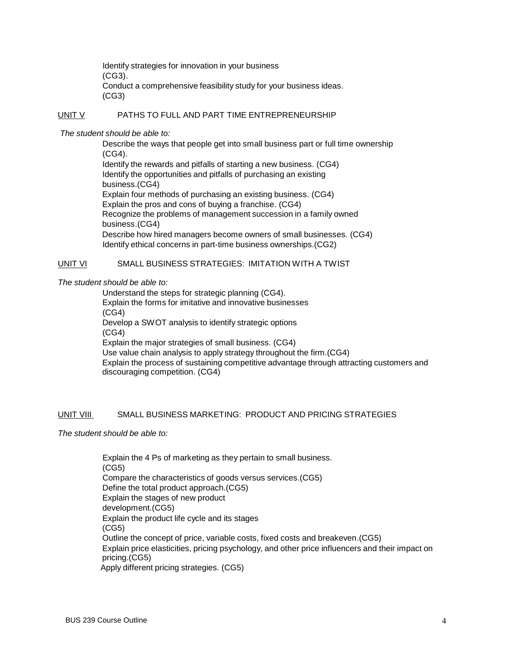Identify strategies for innovation in your business (CG3). Conduct a comprehensive feasibility study for your business ideas. (CG3)

## UNIT V PATHS TO FULL AND PART TIME ENTREPRENEURSHIP

*The student should be able to:*

Describe the ways that people get into small business part or full time ownership (CG4). Identify the rewards and pitfalls of starting a new business. (CG4) Identify the opportunities and pitfalls of purchasing an existing business.(CG4) Explain four methods of purchasing an existing business. (CG4) Explain the pros and cons of buying a franchise. (CG4) Recognize the problems of management succession in a family owned business.(CG4) Describe how hired managers become owners of small businesses. (CG4) Identify ethical concerns in part-time business ownerships.(CG2)

# UNIT VI SMALL BUSINESS STRATEGIES: IMITATION WITH A TWIST

## *The student should be able to:*

Understand the steps for strategic planning (CG4). Explain the forms for imitative and innovative businesses (CG4) Develop a SWOT analysis to identify strategic options (CG4) Explain the major strategies of small business. (CG4) Use value chain analysis to apply strategy throughout the firm.(CG4) Explain the process of sustaining competitive advantage through attracting customers and discouraging competition. (CG4)

## UNIT VIII SMALL BUSINESS MARKETING: PRODUCT AND PRICING STRATEGIES

*The student should be able to:*

Explain the 4 Ps of marketing as they pertain to small business. (CG5) Compare the characteristics of goods versus services.(CG5) Define the total product approach.(CG5) Explain the stages of new product development.(CG5) Explain the product life cycle and its stages (CG5) Outline the concept of price, variable costs, fixed costs and breakeven.(CG5) Explain price elasticities, pricing psychology, and other price influencers and their impact on pricing.(CG5) Apply different pricing strategies. (CG5)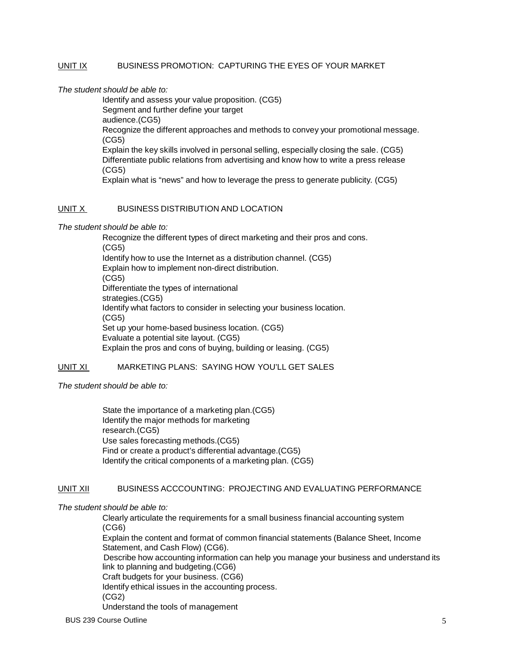# UNIT IX BUSINESS PROMOTION: CAPTURING THE EYES OF YOUR MARKET

*The student should be able to:*

Identify and assess your value proposition. (CG5) Segment and further define your target audience.(CG5) Recognize the different approaches and methods to convey your promotional message. (CG5) Explain the key skills involved in personal selling, especially closing the sale. (CG5) Differentiate public relations from advertising and know how to write a press release (CG5) Explain what is "news" and how to leverage the press to generate publicity. (CG5)

## UNIT X BUSINESS DISTRIBUTION AND LOCATION

*The student should be able to:*

Recognize the different types of direct marketing and their pros and cons. (CG5) Identify how to use the Internet as a distribution channel. (CG5) Explain how to implement non-direct distribution. (CG5) Differentiate the types of international strategies.(CG5) Identify what factors to consider in selecting your business location. (CG5) Set up your home-based business location. (CG5) Evaluate a potential site layout. (CG5) Explain the pros and cons of buying, building or leasing. (CG5)

## UNIT XI MARKETING PLANS: SAYING HOW YOU'LL GET SALES

*The student should be able to:*

State the importance of a marketing plan.(CG5) Identify the major methods for marketing research.(CG5) Use sales forecasting methods.(CG5) Find or create a product's differential advantage.(CG5) Identify the critical components of a marketing plan. (CG5)

## UNIT XII BUSINESS ACCCOUNTING: PROJECTING AND EVALUATING PERFORMANCE

*The student should be able to:*

Clearly articulate the requirements for a small business financial accounting system (CG6)

Explain the content and format of common financial statements (Balance Sheet, Income Statement, and Cash Flow) (CG6).

 Describe how accounting information can help you manage your business and understand its link to planning and budgeting.(CG6)

Craft budgets for your business. (CG6)

Identify ethical issues in the accounting process.

(CG2)

Understand the tools of management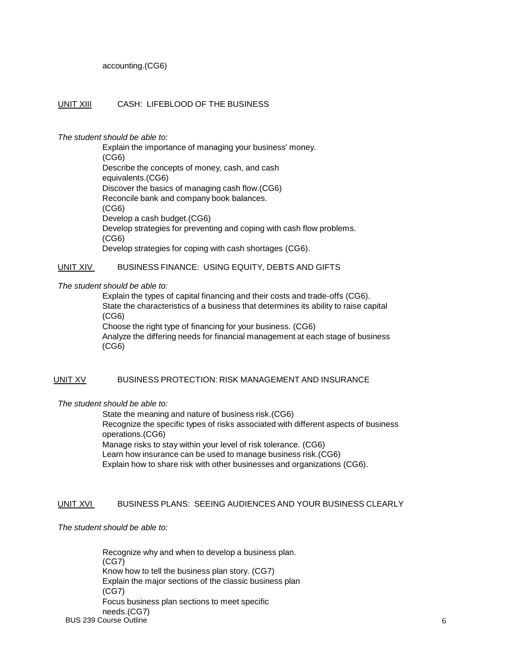accounting.(CG6)

## UNIT XIII CASH: LIFEBLOOD OF THE BUSINESS

#### *The student should be able to:*

Explain the importance of managing your business' money. (CG6) Describe the concepts of money, cash, and cash equivalents.(CG6) Discover the basics of managing cash flow.(CG6) Reconcile bank and company book balances. (CG6) Develop a cash budget.(CG6) Develop strategies for preventing and coping with cash flow problems. (CG6) Develop strategies for coping with cash shortages (CG6).

## UNIT XIV BUSINESS FINANCE: USING EQUITY, DEBTS AND GIFTS

#### *The student should be able to:*

Explain the types of capital financing and their costs and trade-offs (CG6). State the characteristics of a business that determines its ability to raise capital (CG6) Choose the right type of financing for your business. (CG6) Analyze the differing needs for financial management at each stage of business (CG6)

## UNIT XV BUSINESS PROTECTION: RISK MANAGEMENT AND INSURANCE

## *The student should be able to:*

State the meaning and nature of business risk.(CG6) Recognize the specific types of risks associated with different aspects of business operations.(CG6) Manage risks to stay within your level of risk tolerance. (CG6) Learn how insurance can be used to manage business risk.(CG6) Explain how to share risk with other businesses and organizations (CG6).

## UNIT XVI BUSINESS PLANS: SEEING AUDIENCES AND YOUR BUSINESS CLEARLY

*The student should be able to:*

BUS 239 Course Outline 6 and the contract of the contract of the contract of the contract of the contract of the contract of the contract of the contract of the contract of the contract of the contract of the contract of t Recognize why and when to develop a business plan. (CG7) Know how to tell the business plan story. (CG7) Explain the major sections of the classic business plan (CG7) Focus business plan sections to meet specific needs.(CG7)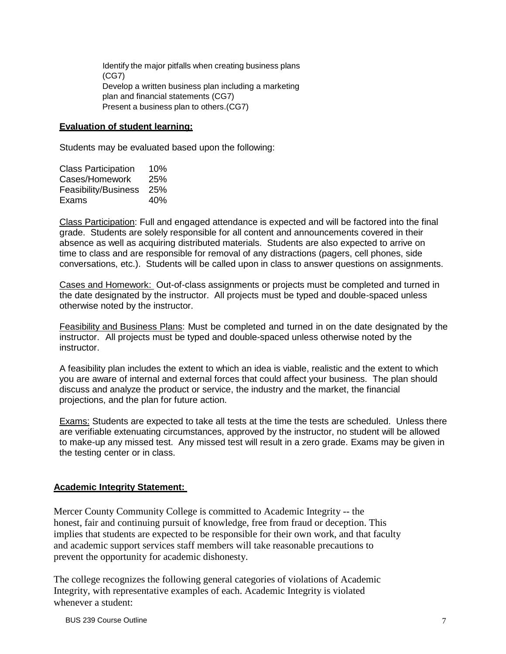Identify the major pitfalls when creating business plans (CG7) Develop a written business plan including a marketing plan and financial statements (CG7) Present a business plan to others.(CG7)

# **Evaluation of student learning:**

Students may be evaluated based upon the following:

| <b>Class Participation</b> | 10% |
|----------------------------|-----|
| Cases/Homework             | 25% |
| Feasibility/Business       | 25% |
| Exams                      | 40% |

Class Participation: Full and engaged attendance is expected and will be factored into the final grade. Students are solely responsible for all content and announcements covered in their absence as well as acquiring distributed materials. Students are also expected to arrive on time to class and are responsible for removal of any distractions (pagers, cell phones, side conversations, etc.). Students will be called upon in class to answer questions on assignments.

Cases and Homework: Out-of-class assignments or projects must be completed and turned in the date designated by the instructor. All projects must be typed and double-spaced unless otherwise noted by the instructor.

Feasibility and Business Plans: Must be completed and turned in on the date designated by the instructor. All projects must be typed and double-spaced unless otherwise noted by the instructor.

A feasibility plan includes the extent to which an idea is viable, realistic and the extent to which you are aware of internal and external forces that could affect your business. The plan should discuss and analyze the product or service, the industry and the market, the financial projections, and the plan for future action.

Exams: Students are expected to take all tests at the time the tests are scheduled. Unless there are verifiable extenuating circumstances, approved by the instructor, no student will be allowed to make-up any missed test. Any missed test will result in a zero grade. Exams may be given in the testing center or in class.

# **Academic Integrity Statement:**

Mercer County Community College is committed to Academic Integrity -- the honest, fair and continuing pursuit of knowledge, free from fraud or deception. This implies that students are expected to be responsible for their own work, and that faculty and academic support services staff members will take reasonable precautions to prevent the opportunity for academic dishonesty.

The college recognizes the following general categories of violations of Academic Integrity, with representative examples of each. Academic Integrity is violated whenever a student: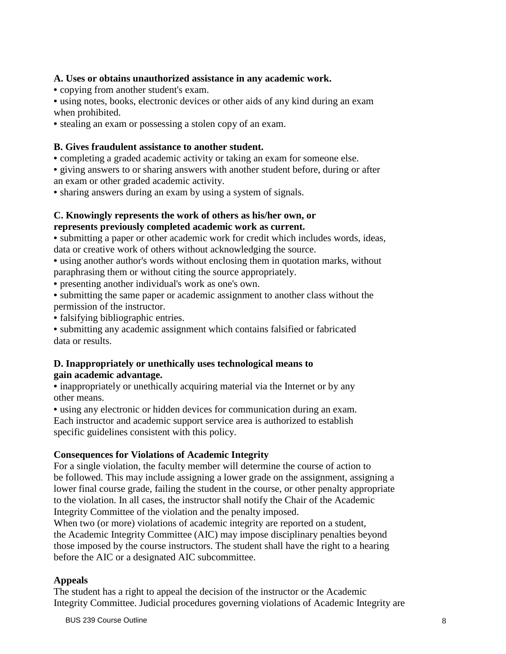# **A. Uses or obtains unauthorized assistance in any academic work.**

• copying from another student's exam.

• using notes, books, electronic devices or other aids of any kind during an exam when prohibited.

• stealing an exam or possessing a stolen copy of an exam.

# **B. Gives fraudulent assistance to another student.**

• completing a graded academic activity or taking an exam for someone else.

• giving answers to or sharing answers with another student before, during or after an exam or other graded academic activity.

• sharing answers during an exam by using a system of signals.

# **C. Knowingly represents the work of others as his/her own, or represents previously completed academic work as current.**

• submitting a paper or other academic work for credit which includes words, ideas, data or creative work of others without acknowledging the source.

• using another author's words without enclosing them in quotation marks, without paraphrasing them or without citing the source appropriately.

• presenting another individual's work as one's own.

• submitting the same paper or academic assignment to another class without the permission of the instructor.

• falsifying bibliographic entries.

• submitting any academic assignment which contains falsified or fabricated data or results.

# **D. Inappropriately or unethically uses technological means to gain academic advantage.**

• inappropriately or unethically acquiring material via the Internet or by any other means.

• using any electronic or hidden devices for communication during an exam. Each instructor and academic support service area is authorized to establish specific guidelines consistent with this policy.

# **Consequences for Violations of Academic Integrity**

For a single violation, the faculty member will determine the course of action to be followed. This may include assigning a lower grade on the assignment, assigning a lower final course grade, failing the student in the course, or other penalty appropriate to the violation. In all cases, the instructor shall notify the Chair of the Academic Integrity Committee of the violation and the penalty imposed.

When two (or more) violations of academic integrity are reported on a student, the Academic Integrity Committee (AIC) may impose disciplinary penalties beyond those imposed by the course instructors. The student shall have the right to a hearing before the AIC or a designated AIC subcommittee.

# **Appeals**

The student has a right to appeal the decision of the instructor or the Academic Integrity Committee. Judicial procedures governing violations of Academic Integrity are